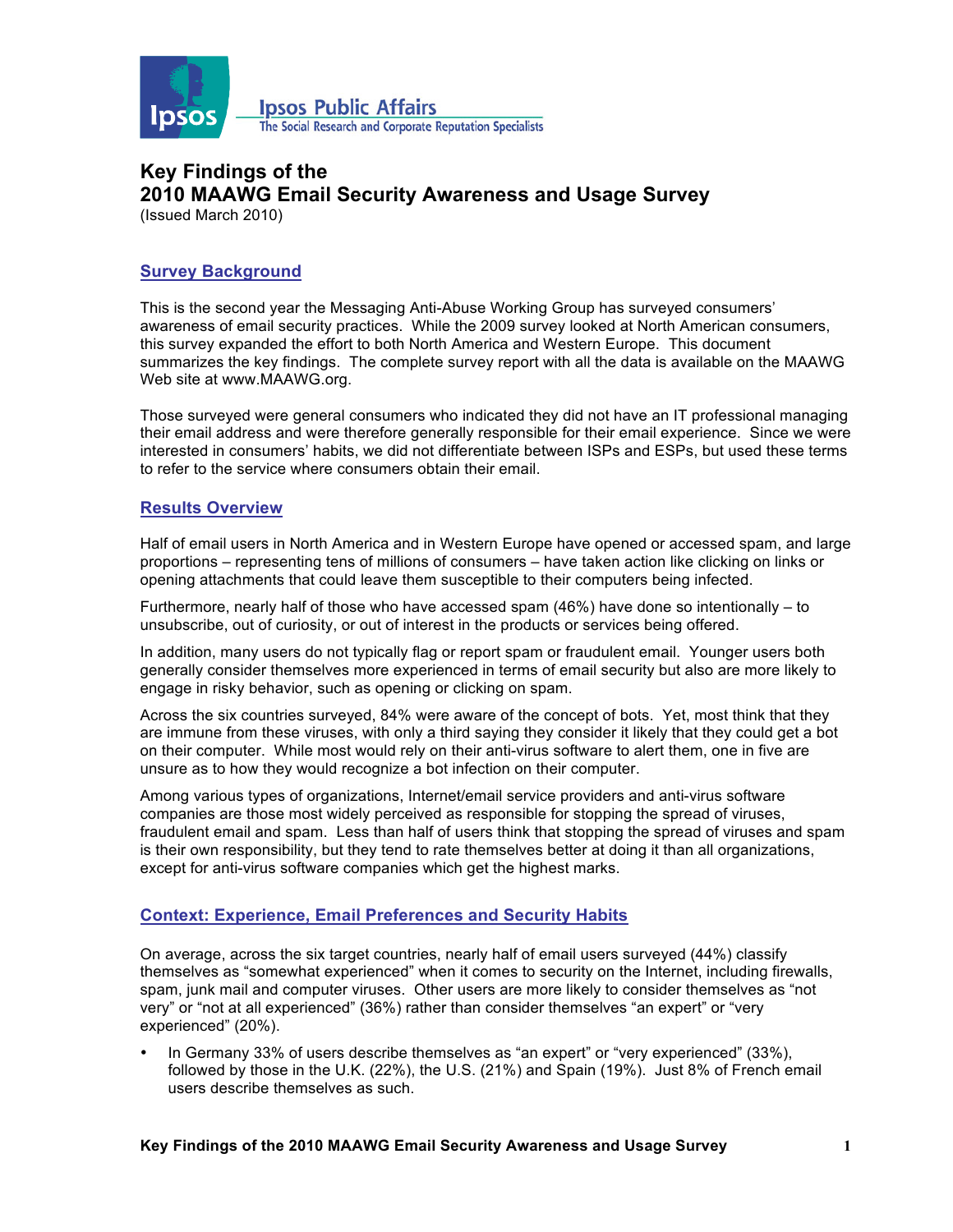

# **Key Findings of the 2010 MAAWG Email Security Awareness and Usage Survey**

(Issued March 2010)

## **Survey Background**

This is the second year the Messaging Anti-Abuse Working Group has surveyed consumers' awareness of email security practices. While the 2009 survey looked at North American consumers, this survey expanded the effort to both North America and Western Europe. This document summarizes the key findings. The complete survey report with all the data is available on the MAAWG Web site at www.MAAWG.org.

Those surveyed were general consumers who indicated they did not have an IT professional managing their email address and were therefore generally responsible for their email experience. Since we were interested in consumers' habits, we did not differentiate between ISPs and ESPs, but used these terms to refer to the service where consumers obtain their email.

#### **Results Overview**

Half of email users in North America and in Western Europe have opened or accessed spam, and large proportions – representing tens of millions of consumers – have taken action like clicking on links or opening attachments that could leave them susceptible to their computers being infected.

Furthermore, nearly half of those who have accessed spam (46%) have done so intentionally – to unsubscribe, out of curiosity, or out of interest in the products or services being offered.

In addition, many users do not typically flag or report spam or fraudulent email. Younger users both generally consider themselves more experienced in terms of email security but also are more likely to engage in risky behavior, such as opening or clicking on spam.

Across the six countries surveyed, 84% were aware of the concept of bots. Yet, most think that they are immune from these viruses, with only a third saying they consider it likely that they could get a bot on their computer. While most would rely on their anti-virus software to alert them, one in five are unsure as to how they would recognize a bot infection on their computer.

Among various types of organizations, Internet/email service providers and anti-virus software companies are those most widely perceived as responsible for stopping the spread of viruses, fraudulent email and spam. Less than half of users think that stopping the spread of viruses and spam is their own responsibility, but they tend to rate themselves better at doing it than all organizations, except for anti-virus software companies which get the highest marks.

## **Context: Experience, Email Preferences and Security Habits**

On average, across the six target countries, nearly half of email users surveyed (44%) classify themselves as "somewhat experienced" when it comes to security on the Internet, including firewalls, spam, junk mail and computer viruses. Other users are more likely to consider themselves as "not very" or "not at all experienced" (36%) rather than consider themselves "an expert" or "very experienced" (20%).

• In Germany 33% of users describe themselves as "an expert" or "very experienced" (33%), followed by those in the U.K. (22%), the U.S. (21%) and Spain (19%). Just 8% of French email users describe themselves as such.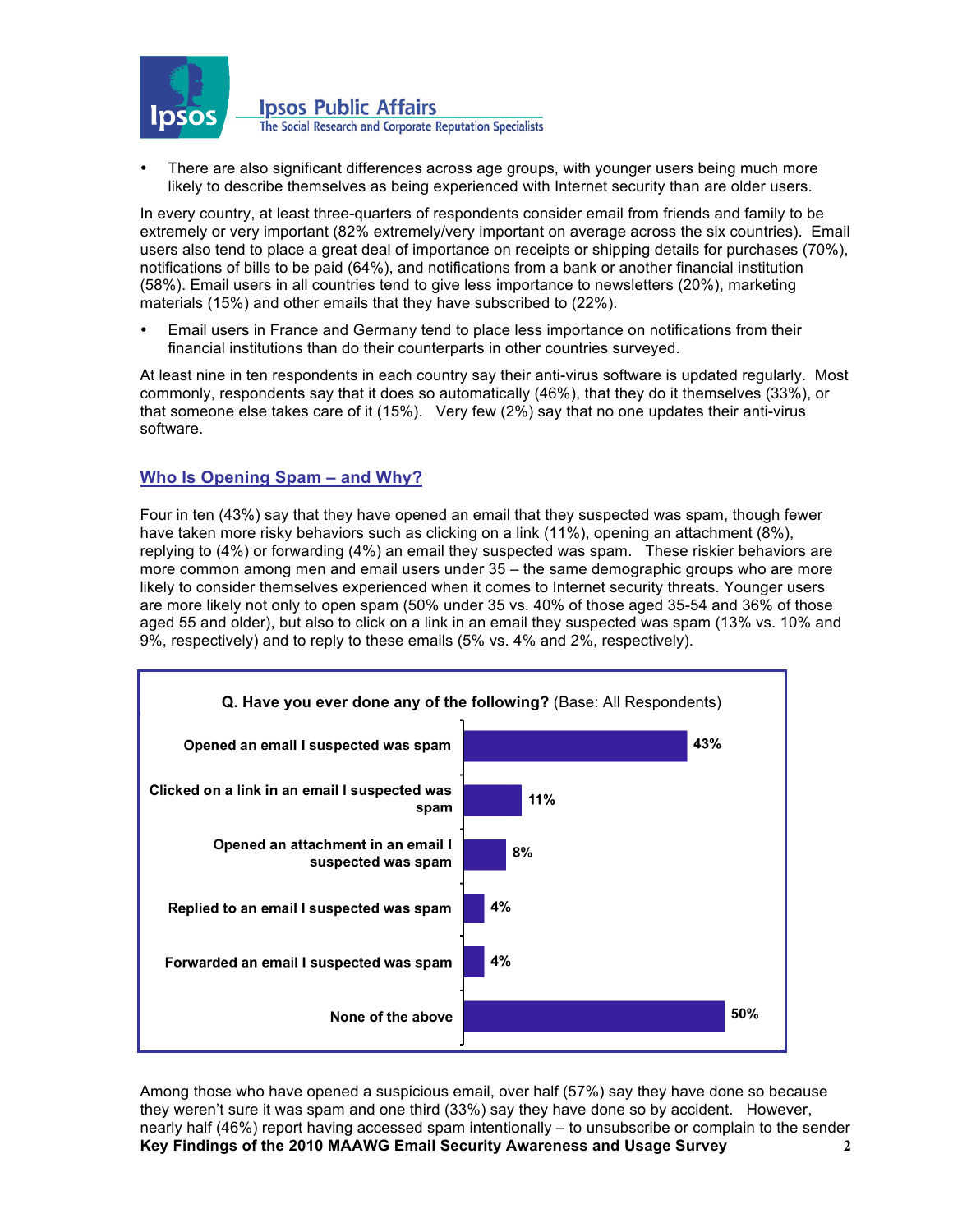

**Ipsos Public Affairs** The Social Research and Corporate Reputation Specialists

• There are also significant differences across age groups, with younger users being much more likely to describe themselves as being experienced with Internet security than are older users.

In every country, at least three-quarters of respondents consider email from friends and family to be extremely or very important (82% extremely/very important on average across the six countries). Email users also tend to place a great deal of importance on receipts or shipping details for purchases (70%), notifications of bills to be paid (64%), and notifications from a bank or another financial institution (58%). Email users in all countries tend to give less importance to newsletters (20%), marketing materials (15%) and other emails that they have subscribed to (22%).

• Email users in France and Germany tend to place less importance on notifications from their financial institutions than do their counterparts in other countries surveyed.

At least nine in ten respondents in each country say their anti-virus software is updated regularly. Most commonly, respondents say that it does so automatically (46%), that they do it themselves (33%), or that someone else takes care of it (15%). Very few (2%) say that no one updates their anti-virus software.

## **Who Is Opening Spam – and Why?**

Four in ten (43%) say that they have opened an email that they suspected was spam, though fewer have taken more risky behaviors such as clicking on a link (11%), opening an attachment (8%), replying to (4%) or forwarding (4%) an email they suspected was spam. These riskier behaviors are more common among men and email users under 35 – the same demographic groups who are more likely to consider themselves experienced when it comes to Internet security threats. Younger users are more likely not only to open spam (50% under 35 vs. 40% of those aged 35-54 and 36% of those aged 55 and older), but also to click on a link in an email they suspected was spam (13% vs. 10% and 9%, respectively) and to reply to these emails (5% vs. 4% and 2%, respectively).



**Key Findings of the 2010 MAAWG Email Security Awareness and Usage Survey 2** Among those who have opened a suspicious email, over half (57%) say they have done so because they weren't sure it was spam and one third (33%) say they have done so by accident. However, nearly half (46%) report having accessed spam intentionally – to unsubscribe or complain to the sender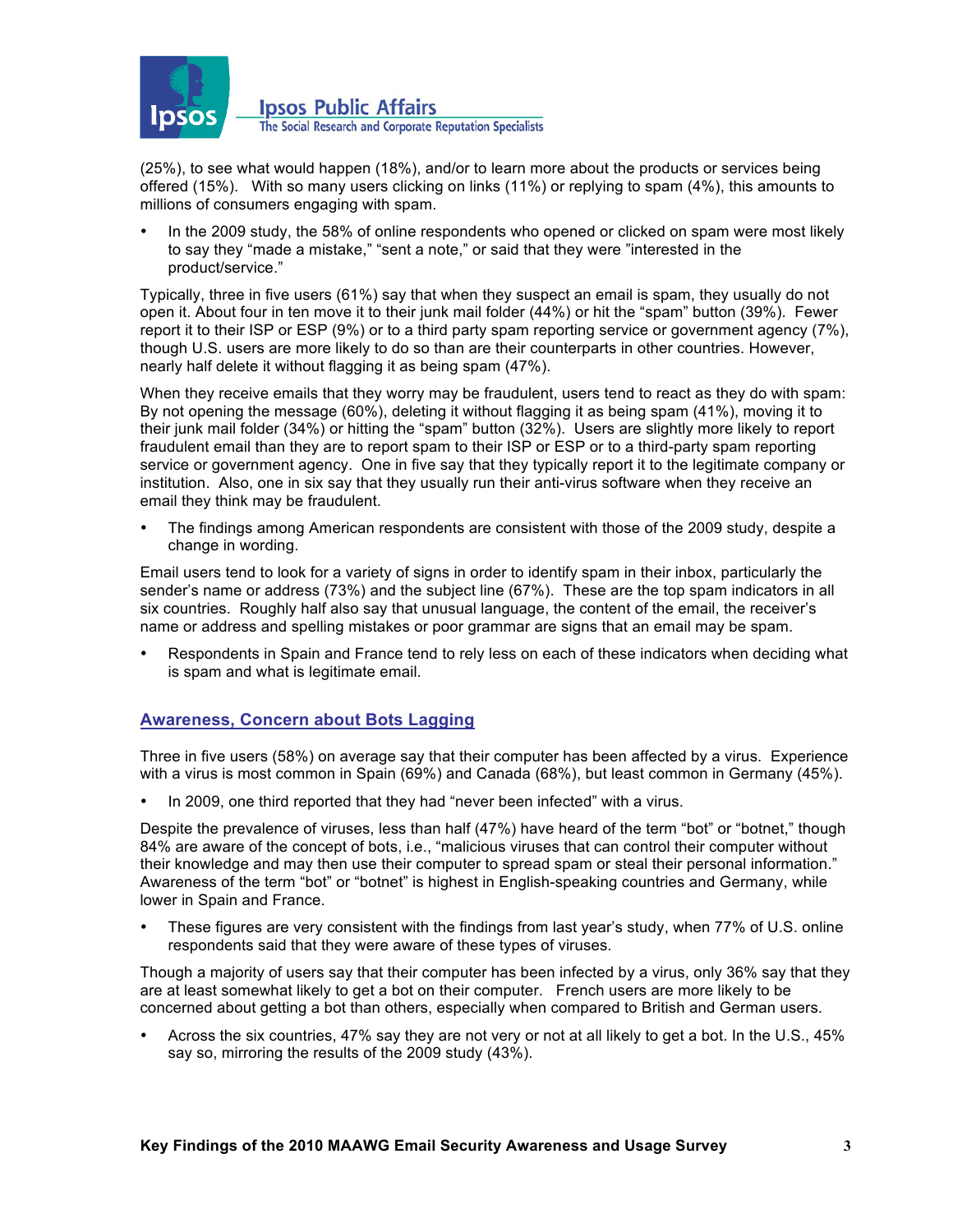

**Ipsos Public Affairs** The Social Research and Corporate Reputation Specialists

(25%), to see what would happen (18%), and/or to learn more about the products or services being offered (15%). With so many users clicking on links (11%) or replying to spam (4%), this amounts to millions of consumers engaging with spam.

• In the 2009 study, the 58% of online respondents who opened or clicked on spam were most likely to say they "made a mistake," "sent a note," or said that they were "interested in the product/service."

Typically, three in five users (61%) say that when they suspect an email is spam, they usually do not open it. About four in ten move it to their junk mail folder (44%) or hit the "spam" button (39%). Fewer report it to their ISP or ESP (9%) or to a third party spam reporting service or government agency (7%), though U.S. users are more likely to do so than are their counterparts in other countries. However, nearly half delete it without flagging it as being spam (47%).

When they receive emails that they worry may be fraudulent, users tend to react as they do with spam: By not opening the message (60%), deleting it without flagging it as being spam (41%), moving it to their junk mail folder (34%) or hitting the "spam" button (32%). Users are slightly more likely to report fraudulent email than they are to report spam to their ISP or ESP or to a third-party spam reporting service or government agency. One in five say that they typically report it to the legitimate company or institution. Also, one in six say that they usually run their anti-virus software when they receive an email they think may be fraudulent.

• The findings among American respondents are consistent with those of the 2009 study, despite a change in wording.

Email users tend to look for a variety of signs in order to identify spam in their inbox, particularly the sender's name or address (73%) and the subject line (67%). These are the top spam indicators in all six countries. Roughly half also say that unusual language, the content of the email, the receiver's name or address and spelling mistakes or poor grammar are signs that an email may be spam.

• Respondents in Spain and France tend to rely less on each of these indicators when deciding what is spam and what is legitimate email.

## **Awareness, Concern about Bots Lagging**

Three in five users (58%) on average say that their computer has been affected by a virus. Experience with a virus is most common in Spain (69%) and Canada (68%), but least common in Germany (45%).

• In 2009, one third reported that they had "never been infected" with a virus.

Despite the prevalence of viruses, less than half (47%) have heard of the term "bot" or "botnet," though 84% are aware of the concept of bots, i.e., "malicious viruses that can control their computer without their knowledge and may then use their computer to spread spam or steal their personal information." Awareness of the term "bot" or "botnet" is highest in English-speaking countries and Germany, while lower in Spain and France.

• These figures are very consistent with the findings from last year's study, when 77% of U.S. online respondents said that they were aware of these types of viruses.

Though a majority of users say that their computer has been infected by a virus, only 36% say that they are at least somewhat likely to get a bot on their computer. French users are more likely to be concerned about getting a bot than others, especially when compared to British and German users.

• Across the six countries, 47% say they are not very or not at all likely to get a bot. In the U.S., 45% say so, mirroring the results of the 2009 study (43%).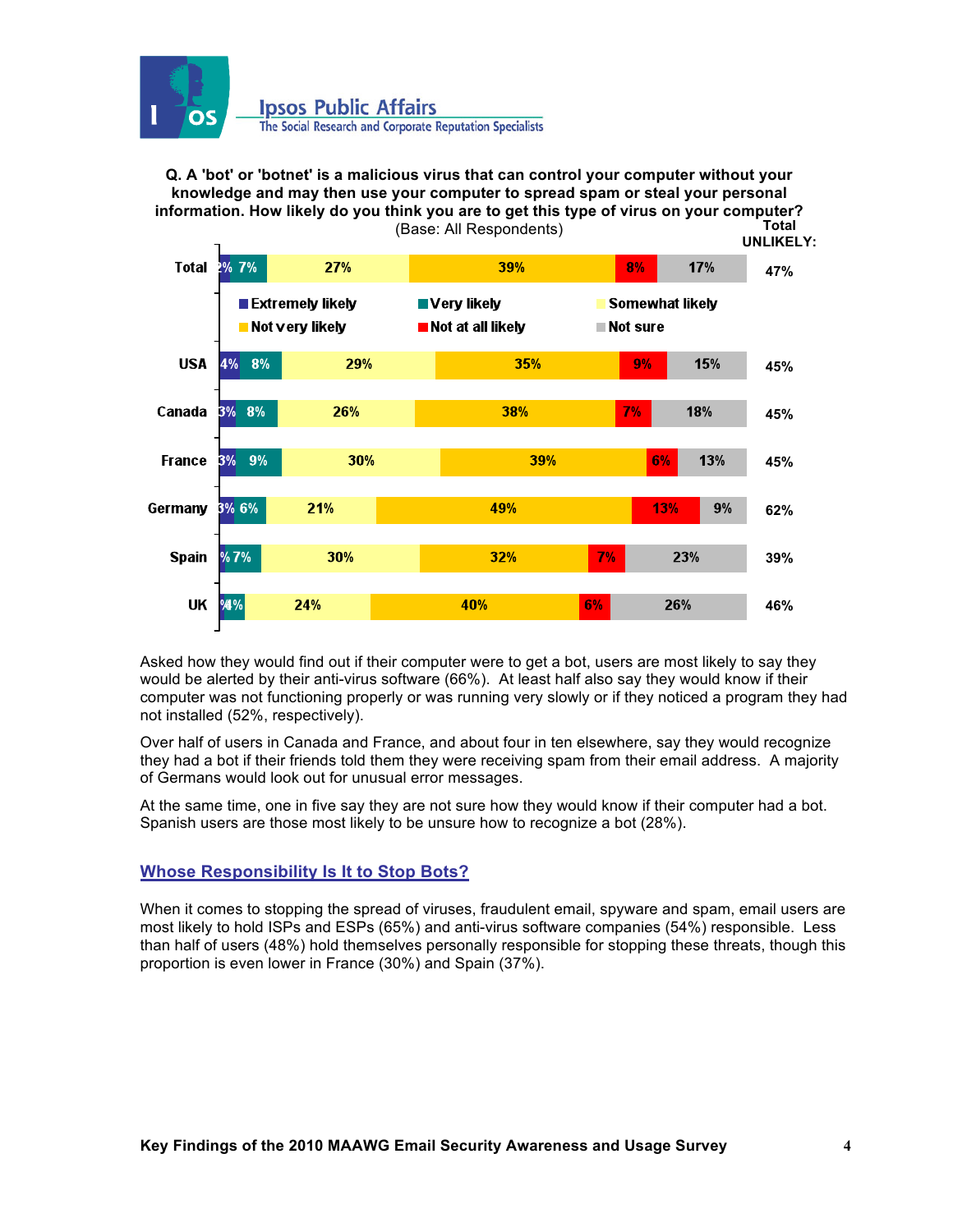

**Q. A 'bot' or 'botnet' is a malicious virus that can control your computer without your knowledge and may then use your computer to spread spam or steal your personal information. How likely do you think you are to get this type of virus on your computer?** (Base: All Respondents) **Total** 



Asked how they would find out if their computer were to get a bot, users are most likely to say they would be alerted by their anti-virus software (66%). At least half also say they would know if their computer was not functioning properly or was running very slowly or if they noticed a program they had not installed (52%, respectively).

Over half of users in Canada and France, and about four in ten elsewhere, say they would recognize they had a bot if their friends told them they were receiving spam from their email address. A majority of Germans would look out for unusual error messages.

At the same time, one in five say they are not sure how they would know if their computer had a bot. Spanish users are those most likely to be unsure how to recognize a bot (28%).

## **Whose Responsibility Is It to Stop Bots?**

When it comes to stopping the spread of viruses, fraudulent email, spyware and spam, email users are most likely to hold ISPs and ESPs (65%) and anti-virus software companies (54%) responsible. Less than half of users (48%) hold themselves personally responsible for stopping these threats, though this proportion is even lower in France (30%) and Spain (37%).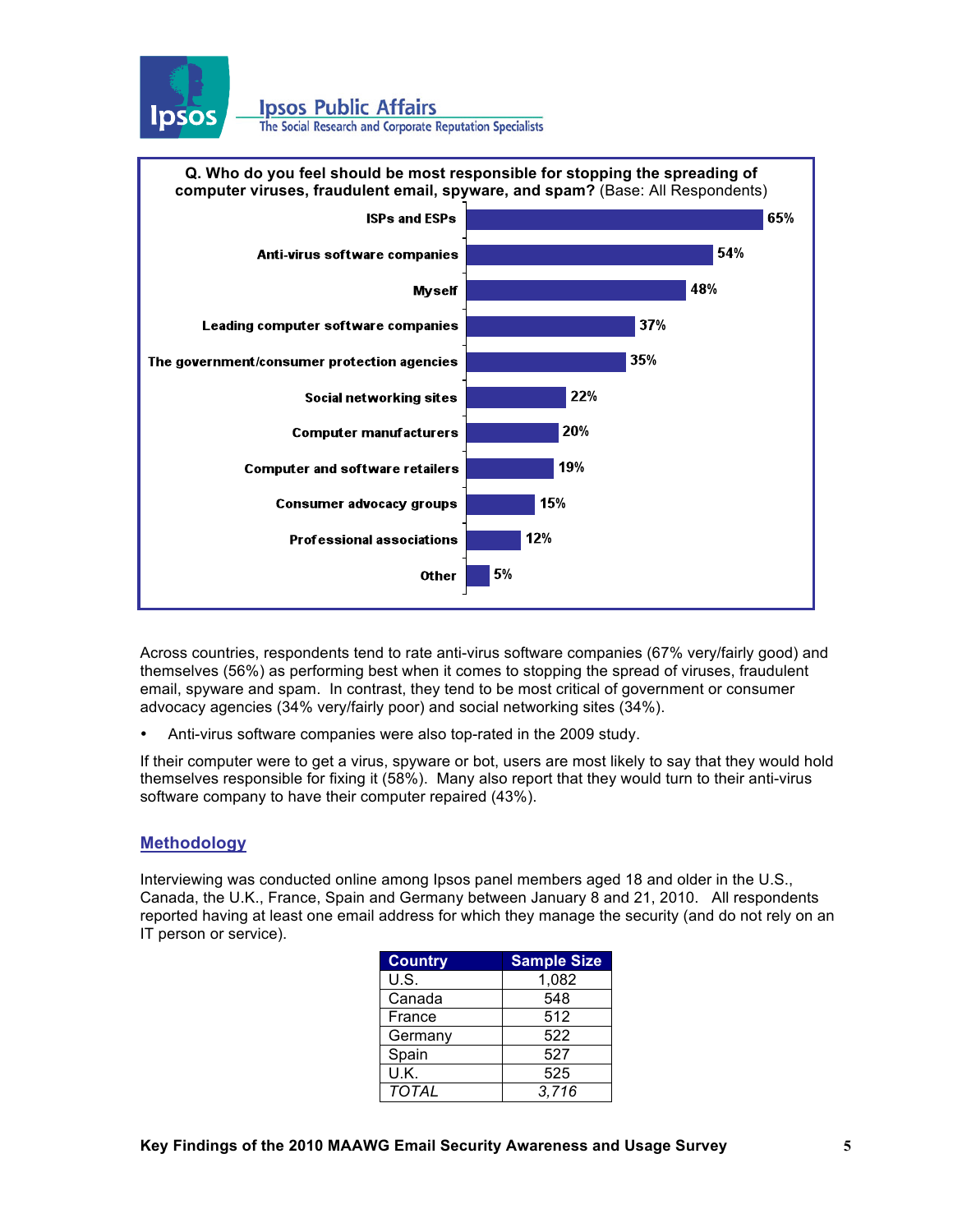

**Ipsos Public Affairs** 

The Social Research and Corporate Reputation Specialists



Across countries, respondents tend to rate anti-virus software companies (67% very/fairly good) and themselves (56%) as performing best when it comes to stopping the spread of viruses, fraudulent email, spyware and spam. In contrast, they tend to be most critical of government or consumer advocacy agencies (34% very/fairly poor) and social networking sites (34%).

• Anti-virus software companies were also top-rated in the 2009 study.

If their computer were to get a virus, spyware or bot, users are most likely to say that they would hold themselves responsible for fixing it (58%). Many also report that they would turn to their anti-virus software company to have their computer repaired (43%).

## **Methodology**

Interviewing was conducted online among Ipsos panel members aged 18 and older in the U.S., Canada, the U.K., France, Spain and Germany between January 8 and 21, 2010. All respondents reported having at least one email address for which they manage the security (and do not rely on an IT person or service).

| <b>Country</b> | <b>Sample Size</b> |
|----------------|--------------------|
| U.S.           | 1,082              |
| Canada         | 548                |
| France         | 512                |
| Germany        | 522                |
| Spain          | 527                |
| U.K.           | 525                |
| <b>TOTAL</b>   | 3,716              |